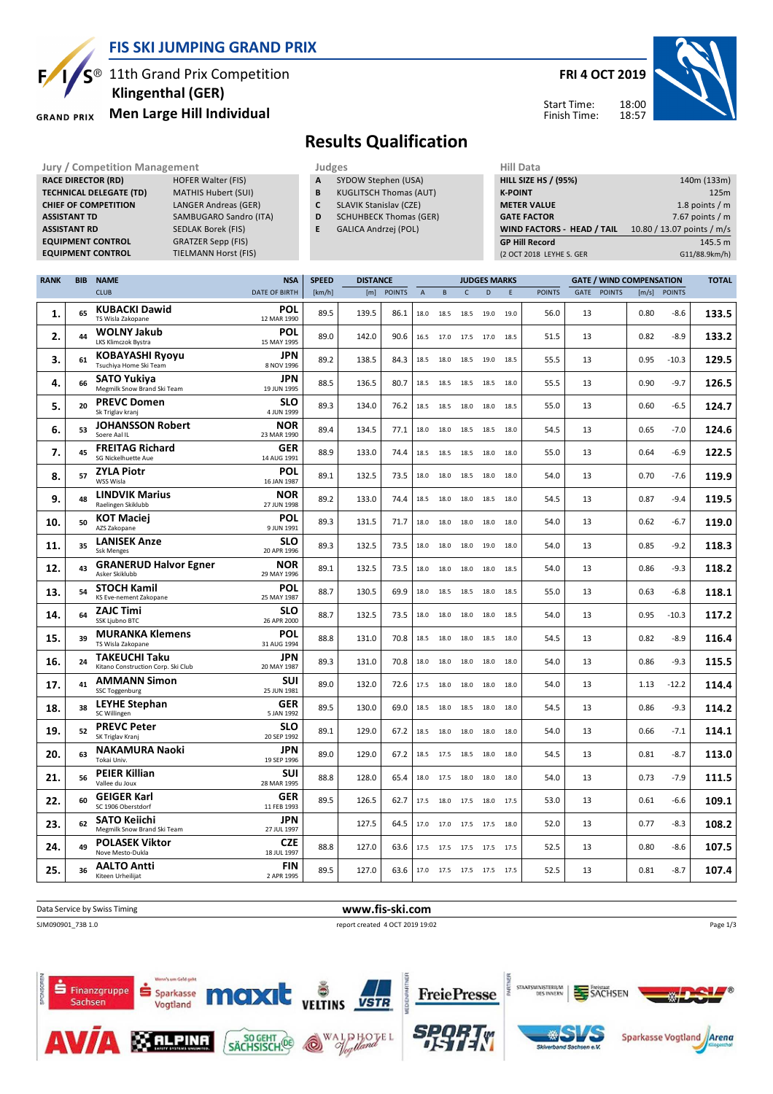

**TIELMANN Horst (FIS)** 

 **Klingenthal (GER)**

**RACE DIRECTOR (RD) HOFER Walter (FIS) TECHNICAL DELEGATE (TD)** MATHIS Hubert (SUI) **CHIEF OF COMPETITION** LANGER Andreas (GER) **ASSISTANT TD** SAMBUGARO Sandro (ITA) **ASSISTANT RD** SEDLAK Borek (FIS)<br>**EQUIPMENT CONTROL** GRATZER Sepp (FIS)

#### **GRAND PRIX**

**EQUIPMENT CONTROL**<br>**EQUIPMENT CONTROL** 

# $S^{\circledR}$  11th Grand Prix Competition **Men Large Hill Individual**

#### **FRI 4 OCT 2019**



Start Time: Finish Time:

### **Results Qualification**

**Jury / Competition Management development development of the Judges of American Hill Data** 

- **A** SYDOW Stephen (USA)
- **B** KUGLITSCH Thomas (AUT)
- **C** SLAVIK Stanislav (CZE)
- **D** SCHUHBECK Thomas (GER)
- **E** GALICA Andrzej (POL)

| niil Data                         |                            |
|-----------------------------------|----------------------------|
| <b>HILL SIZE HS / (95%)</b>       | 140m (133m)                |
| <b>K-POINT</b>                    | 125m                       |
| <b>METER VALUE</b>                | 1.8 points $/m$            |
| <b>GATE FACTOR</b>                | 7.67 points $/m$           |
| <b>WIND FACTORS - HEAD / TAIL</b> | 10.80 / 13.07 points / m/s |
| <b>GP Hill Record</b>             | 145.5 m                    |
| (2 OCT 2018 LEYHE S. GER          | G11/88.9km/h)              |
|                                   |                            |

| <b>RANK</b> | <b>BIB</b> | <b>NAME</b>                                                     | <b>NSA</b>                             | <b>SPEED</b> | <b>DISTANCE</b><br><b>GATE / WIND COMPENSATION</b><br><b>JUDGES MARKS</b> |               |                |           |                |              | <b>TOTAL</b> |               |    |             |      |              |       |
|-------------|------------|-----------------------------------------------------------------|----------------------------------------|--------------|---------------------------------------------------------------------------|---------------|----------------|-----------|----------------|--------------|--------------|---------------|----|-------------|------|--------------|-------|
|             |            | <b>CLUB</b>                                                     | <b>DATE OF BIRTH</b>                   | [km/h]       | [m]                                                                       | <b>POINTS</b> | $\overline{A}$ | B         | $\mathsf{C}$   | $\mathsf{D}$ | F            | <b>POINTS</b> |    | GATE POINTS |      | [m/s] POINTS |       |
| 1.          | 65         | <b>KUBACKI Dawid</b><br>TS Wisla Zakopane                       | POL<br>12 MAR 1990                     | 89.5         | 139.5                                                                     | 86.1          | 18.0           | 18.5      | 18.5           | 19.0         | 19.0         | 56.0          | 13 |             | 0.80 | $-8.6$       | 133.5 |
| 2.          | 44         | <b>WOLNY Jakub</b><br>LKS Klimczok Bystra                       | POL<br>15 MAY 1995                     | 89.0         | 142.0                                                                     | 90.6          | 16.5           | 17.0      |                | 17.5 17.0    | 18.5         | 51.5          | 13 |             | 0.82 | $-8.9$       | 133.2 |
| 3.          | 61         | <b>KOBAYASHI Ryoyu</b><br>Tsuchiya Home Ski Team                | JPN<br>8 NOV 1996                      | 89.2         | 138.5                                                                     | 84.3          | 18.5           | 18.0      |                | 18.5 19.0    | 18.5         | 55.5          | 13 |             | 0.95 | $-10.3$      | 129.5 |
| 4.          | 66         | SATO Yukiya<br>Megmilk Snow Brand Ski Team                      | <b>JPN</b><br>19 JUN 1995              | 88.5         | 136.5                                                                     | 80.7          | 18.5           | 18.5      | 18.5           | 18.5         | 18.0         | 55.5          | 13 |             | 0.90 | $-9.7$       | 126.5 |
| 5.          | 20         | <b>PREVC Domen</b><br>Sk Triglav krani                          | <b>SLO</b><br>4 JUN 1999               | 89.3         | 134.0                                                                     | 76.2          | 18.5           | 18.5      | 18.0           | 18.0         | 18.5         | 55.0          | 13 |             | 0.60 | $-6.5$       | 124.7 |
| 6.          | 53         | <b>JOHANSSON Robert</b><br>Soere Aal IL                         | <b>NOR</b><br>23 MAR 1990              | 89.4         | 134.5                                                                     | 77.1          | 18.0           | 18.0      | 18.5           | 18.5         | 18.0         | 54.5          | 13 |             | 0.65 | $-7.0$       | 124.6 |
| 7.          | 45         | <b>FREITAG Richard</b><br>SG Nickelhuette Aue                   | GER<br>14 AUG 1991                     | 88.9         | 133.0                                                                     | 74.4          | 18.5           | 18.5      | 18.5           | 18.0         | 18.0         | 55.0          | 13 |             | 0.64 | $-6.9$       | 122.5 |
| 8.          | 57         | <b>ZYLA Piotr</b><br>WSS Wisla                                  | POL<br>16 JAN 1987                     | 89.1         | 132.5                                                                     | 73.5          | 18.0           | 18.0      | 18.5           | 18.0         | 18.0         | 54.0          | 13 |             | 0.70 | $-7.6$       | 119.9 |
| 9.          | 48         | <b>LINDVIK Marius</b><br>Raelingen Skiklubb                     | <b>NOR</b><br>27 JUN 1998              | 89.2         | 133.0                                                                     | 74.4          | 18.5           | 18.0      | 18.0           | 18.5         | 18.0         | 54.5          | 13 |             | 0.87 | $-9.4$       | 119.5 |
| 10.         | 50         | <b>KOT Maciej</b><br>AZS Zakopane                               | POL<br>9 JUN 1991                      | 89.3         | 131.5                                                                     | 71.7          | 18.0           | 18.0      | 18.0           | 18.0         | 18.0         | 54.0          | 13 |             | 0.62 | $-6.7$       | 119.0 |
| 11.         | 35         | <b>LANISEK Anze</b><br><b>Ssk Menges</b>                        | <b>SLO</b><br>20 APR 1996              | 89.3         | 132.5                                                                     | 73.5          | 18.0           | 18.0      | 18.0           | 19.0         | 18.0         | 54.0          | 13 |             | 0.85 | $-9.2$       | 118.3 |
| 12.         | 43         | <b>GRANERUD Halvor Egner</b><br>Asker Skiklubb                  | NOR<br>29 MAY 1996                     | 89.1         | 132.5                                                                     | 73.5          | 18.0           | 18.0      | 18.0           | 18.0         | 18.5         | 54.0          | 13 |             | 0.86 | $-9.3$       | 118.2 |
| 13.         | 54         | <b>STOCH Kamil</b><br>KS Eve-nement Zakopane                    | POL<br>25 MAY 1987                     | 88.7         | 130.5                                                                     | 69.9          | 18.0           | 18.5      | 18.5           | 18.0         | 18.5         | 55.0          | 13 |             | 0.63 | $-6.8$       | 118.1 |
| 14.         | 64         | <b>ZAJC Timi</b><br>SSK Ljubno BTC                              | <b>SLO</b><br>26 APR 2000              | 88.7         | 132.5                                                                     | 73.5          | 18.0           | 18.0      | 18.0           | 18.0         | 18.5         | 54.0          | 13 |             | 0.95 | $-10.3$      | 117.2 |
| 15.         | 39         | <b>MURANKA Klemens</b><br>TS Wisla Zakopane                     | POL<br>31 AUG 1994                     | 88.8         | 131.0                                                                     | 70.8          | 18.5           | 18.0      | 18.0           | 18.5         | 18.0         | 54.5          | 13 |             | 0.82 | $-8.9$       | 116.4 |
| 16.         | 24         | <b>TAKEUCHI Taku</b><br>Kitano Construction Corp. Ski Club      | JPN<br>20 MAY 1987                     | 89.3         | 131.0                                                                     | 70.8          | 18.0           | 18.0      | 18.0           | 18.0         | 18.0         | 54.0          | 13 |             | 0.86 | $-9.3$       | 115.5 |
| 17.         | 41         | <b>AMMANN Simon</b><br>SSC Toggenburg                           | <b>SUI</b><br>25 JUN 1981              | 89.0         | 132.0                                                                     | 72.6          | 17.5           | 18.0      | 18.0           | 18.0         | 18.0         | 54.0          | 13 |             | 1.13 | $-12.2$      | 114.4 |
| 18.         | 38         | <b>LEYHE Stephan</b><br>SC Willingen                            | <b>GER</b><br>5 JAN 1992<br><b>SLO</b> | 89.5         | 130.0                                                                     | 69.0          | 18.5           | 18.0      | 18.5           | 18.0         | 18.0         | 54.5          | 13 |             | 0.86 | $-9.3$       | 114.2 |
| 19.         | 52         | <b>PREVC Peter</b><br>SK Triglav Kranj<br><b>NAKAMURA Naoki</b> | 20 SEP 1992<br>JPN                     | 89.1         | 129.0                                                                     | 67.2          | 18.5           | 18.0      | 18.0           | 18.0         | 18.0         | 54.0          | 13 |             | 0.66 | $-7.1$       | 114.1 |
| 20.         | 63         | Tokai Univ.                                                     | 19 SEP 1996<br><b>SUI</b>              | 89.0         | 129.0                                                                     | 67.2          | 18.5           | 17.5      | 18.5           | 18.0         | 18.0         | 54.5          | 13 |             | 0.81 | $-8.7$       | 113.0 |
| 21.         | 56         | <b>PEIER Killian</b><br>Vallee du Joux                          | 28 MAR 1995                            | 88.8         | 128.0                                                                     | 65.4          | 18.0           | 17.5      | 18.0           | 18.0         | 18.0         | 54.0          | 13 |             | 0.73 | $-7.9$       | 111.5 |
| 22.         | 60         | <b>GEIGER Karl</b><br>SC 1906 Oberstdorf                        | <b>GER</b><br>11 FEB 1993              | 89.5         | 126.5                                                                     | 62.7          | 17.5           | 18.0      |                | 17.5 18.0    | 17.5         | 53.0          | 13 |             | 0.61 | -6.6         | 109.1 |
| 23.         | 62         | <b>SATO Keiichi</b><br>Megmilk Snow Brand Ski Team              | <b>JPN</b><br>27 JUL 1997              |              | 127.5                                                                     | 64.5          | 17.0           | 17.0      | 17.5 17.5      |              | 18.0         | 52.0          | 13 |             | 0.77 | $-8.3$       | 108.2 |
| 24.         | 49         | <b>POLASEK Viktor</b><br>Nove Mesto-Dukla                       | <b>CZE</b><br>18 JUL 1997              | 88.8         | 127.0                                                                     | 63.6          | 17.5           | 17.5      | 17.5 17.5 17.5 |              |              | 52.5          | 13 |             | 0.80 | $-8.6$       | 107.5 |
| 25.         | 36         | AALTO Antti<br>Kiteen Urheilijat                                | <b>FIN</b><br>2 APR 1995               | 89.5         | 127.0                                                                     | 63.6          |                | 17.0 17.5 | 17.5 17.5 17.5 |              |              | 52.5          | 13 |             | 0.81 | $-8.7$       | 107.4 |





Vogtland

Sachsen





**SACHSEN** 



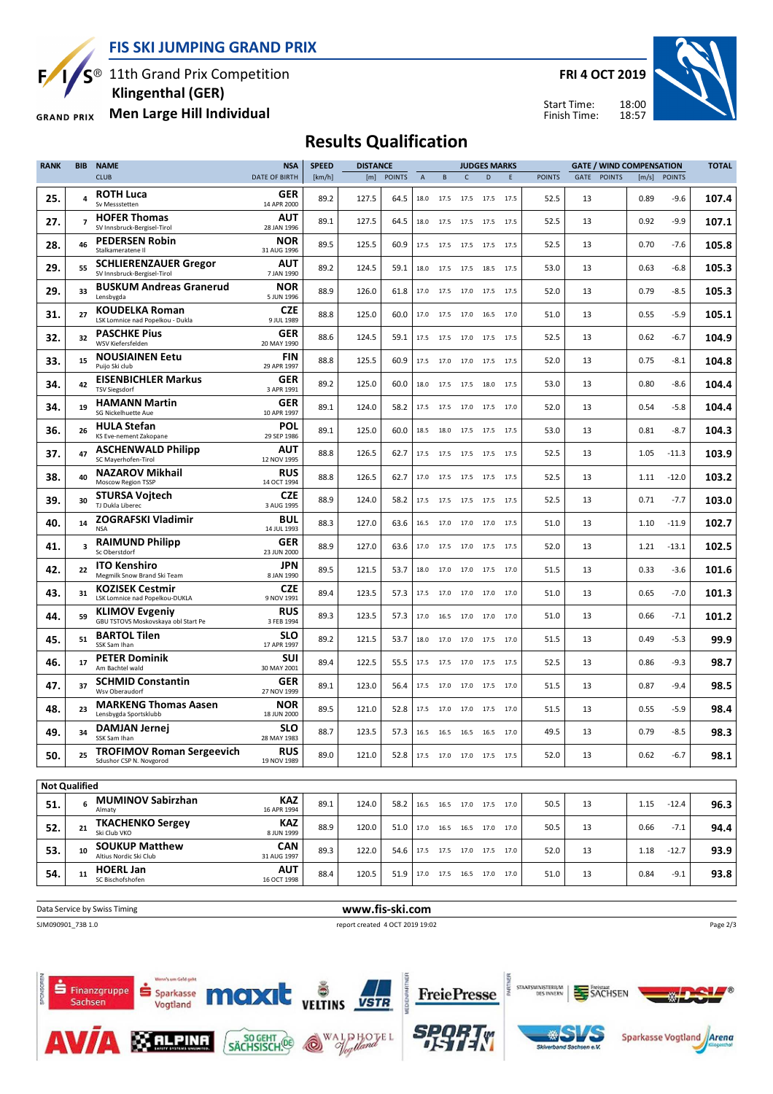**FIS SKI JUMPING GRAND PRIX**

S<sup>®</sup> 11th Grand Prix Competition

F

**54. 11**

 $\mathbf{I}$ 

SC Bischofshofen 11 **HOERL Jan** 

Sparkasse

Vogtland

**ALPINA** 

max

SÄCHSISCH.

**S** Finanzgruppe

Sachsen

 **Klingenthal (GER)**

**Men Large Hill Individual GRAND PRIX** 

**FRI 4 OCT 2019**





### **Results Qualification**

| <b>RANK</b>          | <b>BIB</b>              | <b>NAME</b>                                                  | <b>NSA</b>                | <b>SPEED</b> | <b>DISTANCE</b><br><b>JUDGES MARKS</b> |               |             |           | <b>GATE / WIND COMPENSATION</b> |                              |      |               |      |               |       |               |       |
|----------------------|-------------------------|--------------------------------------------------------------|---------------------------|--------------|----------------------------------------|---------------|-------------|-----------|---------------------------------|------------------------------|------|---------------|------|---------------|-------|---------------|-------|
|                      |                         | <b>CLUB</b>                                                  | <b>DATE OF BIRTH</b>      | [km/h]       | [m]                                    | <b>POINTS</b> | $\mathsf A$ | B         | C                               | D                            | Ε    | <b>POINTS</b> | GATE | <b>POINTS</b> | [m/s] | <b>POINTS</b> |       |
| 25.                  | 4                       | <b>ROTH Luca</b><br>Sv Messstetten                           | <b>GER</b><br>14 APR 2000 | 89.2         | 127.5                                  | 64.5          | 18.0        | 17.5      |                                 | 17.5 17.5 17.5               |      | 52.5          | 13   |               | 0.89  | $-9.6$        | 107.4 |
| 27.                  | $\overline{ }$          | <b>HOFER Thomas</b><br>SV Innsbruck-Bergisel-Tirol           | AUT<br>28 JAN 1996        | 89.1         | 127.5                                  | 64.5          | 18.0        | 17.5      | 17.5                            | 17.5                         | 17.5 | 52.5          | 13   |               | 0.92  | $-9.9$        | 107.1 |
| 28.                  | 46                      | <b>PEDERSEN Robin</b><br>Stalkameratene II                   | <b>NOR</b><br>31 AUG 1996 | 89.5         | 125.5                                  | 60.9          | 17.5        | 17.5      |                                 | 17.5 17.5 17.5               |      | 52.5          | 13   |               | 0.70  | -7.6          | 105.8 |
| 29.                  | 55                      | <b>SCHLIERENZAUER Gregor</b><br>SV Innsbruck-Bergisel-Tirol  | <b>AUT</b><br>7 JAN 1990  | 89.2         | 124.5                                  | 59.1          | 18.0        | 17.5      | 17.5                            | 18.5                         | 17.5 | 53.0          | 13   |               | 0.63  | $-6.8$        | 105.3 |
| 29.                  | 33                      | <b>BUSKUM Andreas Granerud</b><br>Lensbygda                  | <b>NOR</b><br>5 JUN 1996  | 88.9         | 126.0                                  | 61.8          |             | 17.0 17.5 |                                 | 17.0 17.5 17.5               |      | 52.0          | 13   |               | 0.79  | $-8.5$        | 105.3 |
| 31.                  | 27                      | <b>KOUDELKA Roman</b><br>LSK Lomnice nad Popelkou - Dukla    | <b>CZE</b><br>9 JUL 1989  | 88.8         | 125.0                                  | 60.0          | 17.0        | 17.5      | 17.0                            | 16.5                         | 17.0 | 51.0          | 13   |               | 0.55  | $-5.9$        | 105.1 |
| 32.                  | 32                      | <b>PASCHKE Pius</b><br>WSV Kiefersfelden                     | <b>GER</b><br>20 MAY 1990 | 88.6         | 124.5                                  | 59.1          |             | 17.5 17.5 |                                 | 17.0 17.5 17.5               |      | 52.5          | 13   |               | 0.62  | $-6.7$        | 104.9 |
| 33.                  | 15                      | <b>NOUSIAINEN Eetu</b><br>Puijo Ski club                     | FIN<br>29 APR 1997        | 88.8         | 125.5                                  | 60.9          | 17.5        | 17.0      | 17.0                            | 17.5 17.5                    |      | 52.0          | 13   |               | 0.75  | $-8.1$        | 104.8 |
| 34.                  | 42                      | <b>EISENBICHLER Markus</b><br><b>TSV Siegsdorf</b>           | <b>GER</b><br>3 APR 1991  | 89.2         | 125.0                                  | 60.0          | 18.0        | 17.5      |                                 | 17.5 18.0 17.5               |      | 53.0          | 13   |               | 0.80  | $-8.6$        | 104.4 |
| 34.                  | 19                      | <b>HAMANN Martin</b><br>SG Nickelhuette Aue                  | <b>GER</b><br>10 APR 1997 | 89.1         | 124.0                                  | 58.2          | 17.5        | 17.5      | 17.0                            | 17.5                         | 17.0 | 52.0          | 13   |               | 0.54  | $-5.8$        | 104.4 |
| 36.                  | 26                      | <b>HULA Stefan</b><br>KS Eve-nement Zakopane                 | POL<br>29 SEP 1986        | 89.1         | 125.0                                  | 60.0          | 18.5        | 18.0      |                                 | 17.5 17.5 17.5               |      | 53.0          | 13   |               | 0.81  | $-8.7$        | 104.3 |
| 37.                  | 47                      | <b>ASCHENWALD Philipp</b><br>SC Maverhofen-Tirol             | <b>AUT</b><br>12 NOV 1995 | 88.8         | 126.5                                  | 62.7          | 17.5        | 17.5      | 17.5                            | 17.5                         | 17.5 | 52.5          | 13   |               | 1.05  | $-11.3$       | 103.9 |
| 38.                  | 40                      | <b>NAZAROV Mikhail</b><br>Moscow Region TSSP                 | <b>RUS</b><br>14 OCT 1994 | 88.8         | 126.5                                  | 62.7          |             | 17.0 17.5 |                                 | 17.5 17.5 17.5               |      | 52.5          | 13   |               | 1.11  | $-12.0$       | 103.2 |
| 39.                  | 30                      | STURSA Vojtech<br>TJ Dukla Liberec                           | <b>CZE</b><br>3 AUG 1995  | 88.9         | 124.0                                  | 58.2          | 17.5        | 17.5      | 17.5                            | 17.5                         | 17.5 | 52.5          | 13   |               | 0.71  | $-7.7$        | 103.0 |
| 40.                  | 14                      | <b>ZOGRAFSKI Vladimir</b><br>NSA                             | BUL<br>14 JUL 1993        | 88.3         | 127.0                                  | 63.6          | 16.5        | 17.0      |                                 | 17.0 17.0                    | 17.5 | 51.0          | 13   |               | 1.10  | $-11.9$       | 102.7 |
| 41.                  | $\overline{\mathbf{3}}$ | <b>RAIMUND Philipp</b><br>Sc Oberstdorf                      | GER<br>23 JUN 2000        | 88.9         | 127.0                                  | 63.6          | 17.0        | 17.5      | 17.0                            | 17.5                         | 17.5 | 52.0          | 13   |               | 1.21  | $-13.1$       | 102.5 |
| 42.                  | 22                      | <b>ITO Kenshiro</b><br>Megmilk Snow Brand Ski Team           | JPN<br>8 JAN 1990         | 89.5         | 121.5                                  | 53.7          | 18.0        | 17.0      |                                 | 17.0 17.5                    | 17.0 | 51.5          | 13   |               | 0.33  | $-3.6$        | 101.6 |
| 43.                  | 31                      | <b>KOZISEK Cestmir</b><br>LSK Lomnice nad Popelkou-DUKLA     | <b>CZE</b><br>9 NOV 1991  | 89.4         | 123.5                                  | 57.3          | 17.5        | 17.0      | 17.0                            | 17.0                         | 17.0 | 51.0          | 13   |               | 0.65  | $-7.0$        | 101.3 |
| 44.                  | 59                      | <b>KLIMOV Evgeniy</b><br>GBU TSTOVS Moskovskaya obl Start Pe | <b>RUS</b><br>3 FEB 1994  | 89.3         | 123.5                                  | 57.3          | 17.0        | 16.5      |                                 | 17.0 17.0                    | 17.0 | 51.0          | 13   |               | 0.66  | $-7.1$        | 101.2 |
| 45.                  | 51                      | <b>BARTOL Tilen</b><br>SSK Sam Ihan                          | SLO<br>17 APR 1997        | 89.2         | 121.5                                  | 53.7          | 18.0        | 17.0      | 17.0                            | 17.5                         | 17.0 | 51.5          | 13   |               | 0.49  | $-5.3$        | 99.9  |
| 46.                  | 17                      | <b>PETER Dominik</b><br>Am Bachtel wald                      | <b>SUI</b><br>30 MAY 2001 | 89.4         | 122.5                                  | 55.5          | 17.5        | 17.5      |                                 | 17.0 17.5 17.5               |      | 52.5          | 13   |               | 0.86  | $-9.3$        | 98.7  |
| 47.                  | 37                      | <b>SCHMID Constantin</b><br>Wsv Oberaudorf                   | <b>GER</b><br>27 NOV 1999 | 89.1         | 123.0                                  | 56.4          | 17.5        | 17.0      | 17.0                            | 17.5                         | 17.0 | 51.5          | 13   |               | 0.87  | $-9.4$        | 98.5  |
| 48.                  | 23                      | <b>MARKENG Thomas Aasen</b><br>Lensbygda Sportsklubb         | <b>NOR</b><br>18 JUN 2000 | 89.5         | 121.0                                  | 52.8          | 17.5        | 17.0      | 17.0                            | 17.5                         | 17.0 | 51.5          | 13   |               | 0.55  | $-5.9$        | 98.4  |
| 49.                  | 34                      | <b>DAMJAN Jernej</b><br>SSK Sam Ihan                         | <b>SLO</b><br>28 MAY 1983 | 88.7         | 123.5                                  | 57.3          | 16.5        | 16.5      | 16.5 16.5                       |                              | 17.0 | 49.5          | 13   |               | 0.79  | $-8.5$        | 98.3  |
| 50.                  | 25                      | <b>TROFIMOV Roman Sergeevich</b><br>Sdushor CSP N. Novgorod  | <b>RUS</b><br>19 NOV 1989 | 89.0         | 121.0                                  | 52.8          |             |           |                                 | 17.5 17.0 17.0 17.5 17.5     |      | 52.0          | 13   |               | 0.62  | $-6.7$        | 98.1  |
|                      |                         |                                                              |                           |              |                                        |               |             |           |                                 |                              |      |               |      |               |       |               |       |
| <b>Not Qualified</b> |                         | <b>MUMINOV Sabirzhan</b>                                     | <b>KAZ</b>                |              |                                        |               |             |           |                                 |                              |      |               |      |               |       |               |       |
| 51.                  | 6                       | Almaty<br><b>TKACHENKO Sergey</b>                            | 16 APR 1994<br><b>KAZ</b> | 89.1         | 124.0                                  | 58.2          |             |           |                                 | 16.5 16.5 17.0 17.5 17.0     |      | 50.5          | 13   |               | 1.15  | $-12.4$       | 96.3  |
| 52.                  | 21                      | Ski Club VKO<br><b>SOUKUP Matthew</b>                        | 8 JUN 1999<br>CAN         | 88.9         | 120.0                                  | 51.0          |             |           |                                 | 17.0  16.5  16.5  17.0  17.0 |      | 50.5          | 13   |               | 0.66  | $-7.1$        | 94.4  |
| 53.                  | 10                      | Altius Nordic Ski Club                                       | 31 AUG 1997               | 89.3         | 122.0                                  | 54.6          |             |           |                                 | 17.5 17.5 17.0 17.5 17.0     |      | 52.0          | 13   |               | 1.18  | $-12.7$       | 93.9  |



**AUT**<br>16 OCT 1998

G

 $\widehat{\mathbb{Q}}$ 



S

**AUTR** 88.4 120.5 51.9 17.0 17.5 16.5 17.0 17.0 51.0 13 0.84 -9.1 **93.8** 

STAATSMENISTERIUM<br>DES INNERN

**SACHSEN** 



⊛⊬∎